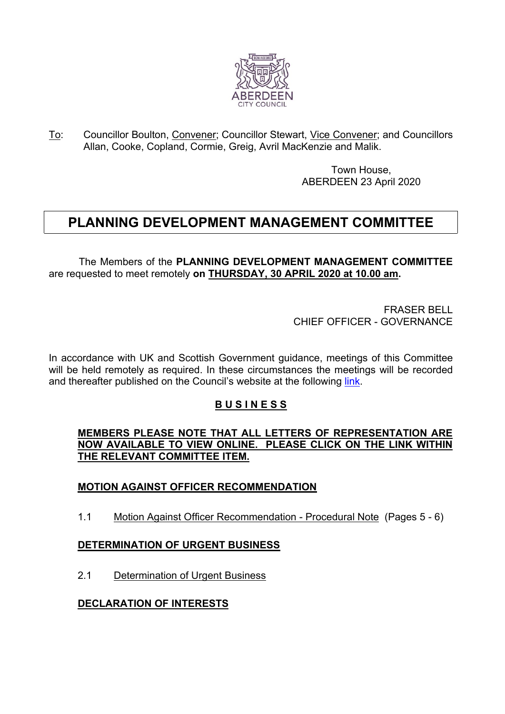

To: Councillor Boulton, Convener; Councillor Stewart, Vice Convener; and Councillors Allan, Cooke, Copland, Cormie, Greig, Avril MacKenzie and Malik.

> Town House, ABERDEEN 23 April 2020

# **PLANNING DEVELOPMENT MANAGEMENT COMMITTEE**

The Members of the **PLANNING DEVELOPMENT MANAGEMENT COMMITTEE** are requested to meet remotely **on THURSDAY, 30 APRIL 2020 at 10.00 am.**

> FRASER BELL CHIEF OFFICER - GOVERNANCE

In accordance with UK and Scottish Government guidance, meetings of this Committee will be held remotely as required. In these circumstances the meetings will be recorded and thereafter published on the Council's website at the following [link](https://committees.aberdeencity.gov.uk/ecCatDisplay.aspx?sch=doc&cat=13932).

## **B U S I N E S S**

**MEMBERS PLEASE NOTE THAT ALL LETTERS OF REPRESENTATION ARE NOW AVAILABLE TO VIEW ONLINE. PLEASE CLICK ON THE LINK WITHIN THE RELEVANT COMMITTEE ITEM.**

## **MOTION AGAINST OFFICER RECOMMENDATION**

1.1 Motion Against Officer Recommendation - Procedural Note (Pages 5 - 6)

#### **DETERMINATION OF URGENT BUSINESS**

2.1 Determination of Urgent Business

## **DECLARATION OF INTERESTS**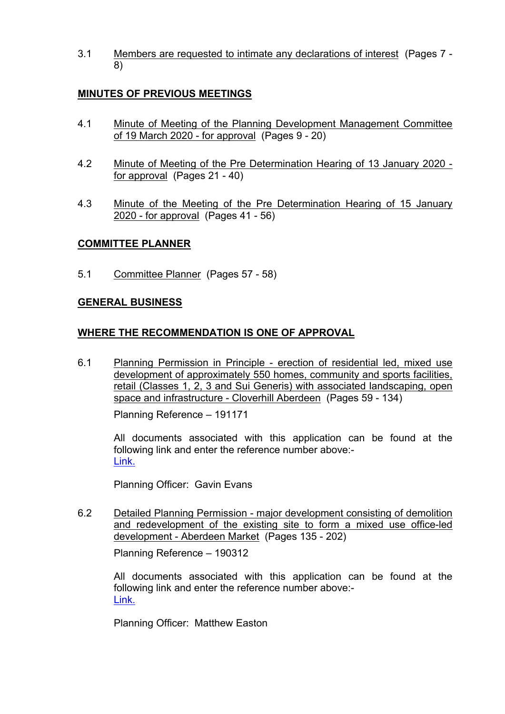3.1 Members are requested to intimate any declarations of interest (Pages 7 - 8)

# **MINUTES OF PREVIOUS MEETINGS**

- 4.1 Minute of Meeting of the Planning Development Management Committee of 19 March 2020 - for approval (Pages 9 - 20)
- 4.2 Minute of Meeting of the Pre Determination Hearing of 13 January 2020 for approval (Pages 21 - 40)
- 4.3 Minute of the Meeting of the Pre Determination Hearing of 15 January 2020 - for approval (Pages 41 - 56)

## **COMMITTEE PLANNER**

5.1 Committee Planner (Pages 57 - 58)

#### **GENERAL BUSINESS**

## **WHERE THE RECOMMENDATION IS ONE OF APPROVAL**

6.1 Planning Permission in Principle - erection of residential led, mixed use development of approximately 550 homes, community and sports facilities, retail (Classes 1, 2, 3 and Sui Generis) with associated landscaping, open space and infrastructure - Cloverhill Aberdeen (Pages 59 - 134)

Planning Reference – 191171

All documents associated with this application can be found at the following link and enter the reference number above:- [Link.](https://publicaccess.aberdeencity.gov.uk/online-applications/) 

Planning Officer: Gavin Evans

6.2 Detailed Planning Permission - major development consisting of demolition and redevelopment of the existing site to form a mixed use office-led development - Aberdeen Market (Pages 135 - 202)

Planning Reference – 190312

All documents associated with this application can be found at the following link and enter the reference number above:- [Link.](https://publicaccess.aberdeencity.gov.uk/online-applications/)

Planning Officer: Matthew Easton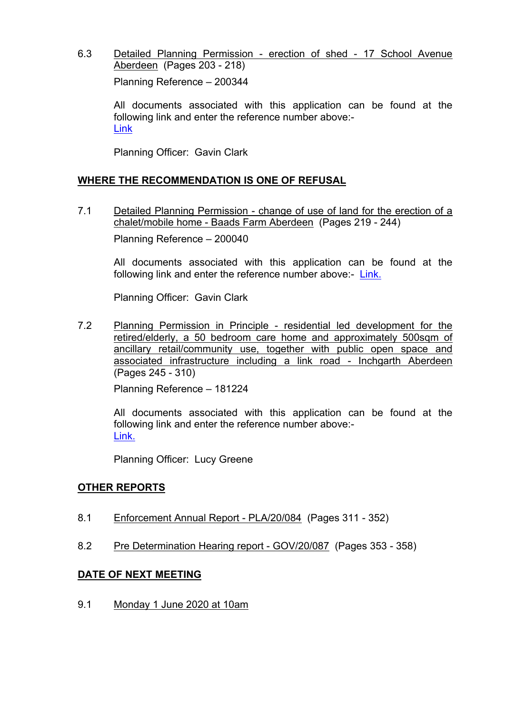6.3 Detailed Planning Permission - erection of shed - 17 School Avenue Aberdeen (Pages 203 - 218)

Planning Reference – 200344

All documents associated with this application can be found at the following link and enter the reference number above:- [Link](https://publicaccess.aberdeencity.gov.uk/online-applications/)

Planning Officer: Gavin Clark

#### **WHERE THE RECOMMENDATION IS ONE OF REFUSAL**

7.1 Detailed Planning Permission - change of use of land for the erection of a chalet/mobile home - Baads Farm Aberdeen (Pages 219 - 244) Planning Reference – 200040

All documents associated with this application can be found at the following link and enter the reference number above:- [Link.](https://publicaccess.aberdeencity.gov.uk/online-applications/)

Planning Officer: Gavin Clark

7.2 Planning Permission in Principle - residential led development for the retired/elderly, a 50 bedroom care home and approximately 500sqm of ancillary retail/community use, together with public open space and associated infrastructure including a link road - Inchgarth Aberdeen (Pages 245 - 310)

Planning Reference – 181224

All documents associated with this application can be found at the following link and enter the reference number above:- [Link.](https://publicaccess.aberdeencity.gov.uk/online-applications/)

Planning Officer: Lucy Greene

#### **OTHER REPORTS**

- 8.1 Enforcement Annual Report PLA/20/084 (Pages 311 352)
- 8.2 Pre Determination Hearing report GOV/20/087 (Pages 353 358)

#### **DATE OF NEXT MEETING**

9.1 Monday 1 June 2020 at 10am